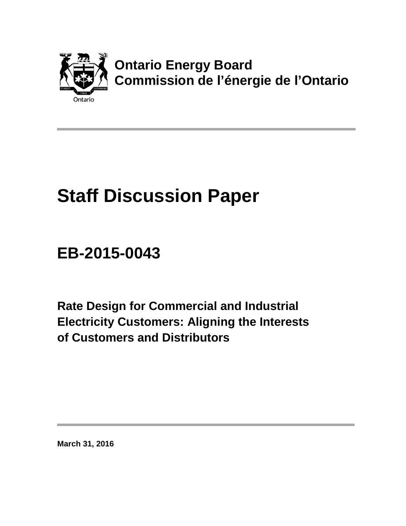

# **Staff Discussion Paper**

# **EB-2015-0043**

**Rate Design for Commercial and Industrial Electricity Customers: Aligning the Interests of Customers and Distributors** 

**March 31, 2016**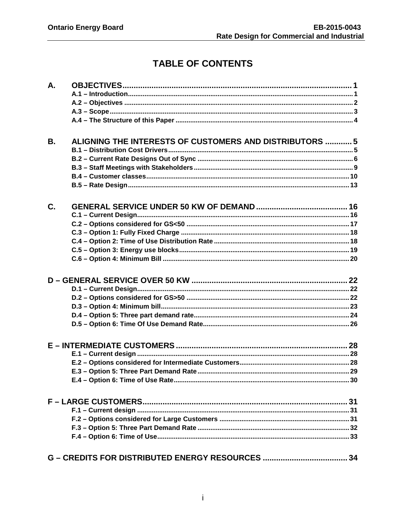# **TABLE OF CONTENTS**

| А.        |                                                         |  |
|-----------|---------------------------------------------------------|--|
|           |                                                         |  |
|           |                                                         |  |
|           |                                                         |  |
|           |                                                         |  |
| <b>B.</b> | ALIGNING THE INTERESTS OF CUSTOMERS AND DISTRIBUTORS  5 |  |
|           |                                                         |  |
|           |                                                         |  |
|           |                                                         |  |
|           |                                                         |  |
| C.        |                                                         |  |
|           |                                                         |  |
|           |                                                         |  |
|           |                                                         |  |
|           |                                                         |  |
|           |                                                         |  |
|           |                                                         |  |
|           |                                                         |  |
|           |                                                         |  |
|           |                                                         |  |
|           |                                                         |  |
|           |                                                         |  |
|           |                                                         |  |
|           |                                                         |  |
|           |                                                         |  |
|           |                                                         |  |
|           |                                                         |  |
|           |                                                         |  |
|           |                                                         |  |
|           |                                                         |  |
|           |                                                         |  |
|           |                                                         |  |
|           |                                                         |  |
|           |                                                         |  |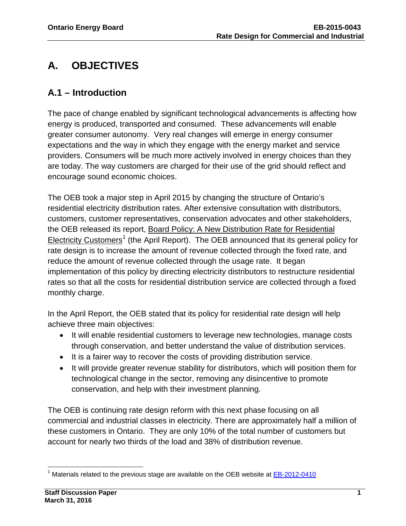# <span id="page-2-0"></span>**A. OBJECTIVES**

## <span id="page-2-1"></span>**A.1 – Introduction**

The pace of change enabled by significant technological advancements is affecting how energy is produced, transported and consumed. These advancements will enable greater consumer autonomy. Very real changes will emerge in energy consumer expectations and the way in which they engage with the energy market and service providers. Consumers will be much more actively involved in energy choices than they are today. The way customers are charged for their use of the grid should reflect and encourage sound economic choices.

The OEB took a major step in April 2015 by changing the structure of Ontario's residential electricity distribution rates. After extensive consultation with distributors, customers, customer representatives, conservation advocates and other stakeholders, the OEB released its report, Board Policy: A New Distribution Rate for Residential Electricity Customers<sup>[1](#page-2-2)</sup> (the April Report). The OEB announced that its general policy for rate design is to increase the amount of revenue collected through the fixed rate, and reduce the amount of revenue collected through the usage rate. It began implementation of this policy by directing electricity distributors to restructure residential rates so that all the costs for residential distribution service are collected through a fixed monthly charge.

In the April Report, the OEB stated that its policy for residential rate design will help achieve three main objectives:

- It will enable residential customers to leverage new technologies, manage costs through conservation, and better understand the value of distribution services.
- It is a fairer way to recover the costs of providing distribution service.
- It will provide greater revenue stability for distributors, which will position them for technological change in the sector, removing any disincentive to promote conservation, and help with their investment planning.

The OEB is continuing rate design reform with this next phase focusing on all commercial and industrial classes in electricity. There are approximately half a million of these customers in Ontario. They are only 10% of the total number of customers but account for nearly two thirds of the load and 38% of distribution revenue.

<span id="page-2-2"></span> <sup>1</sup> Materials related to the previous stage are available on the OEB website at **EB-2012-0410**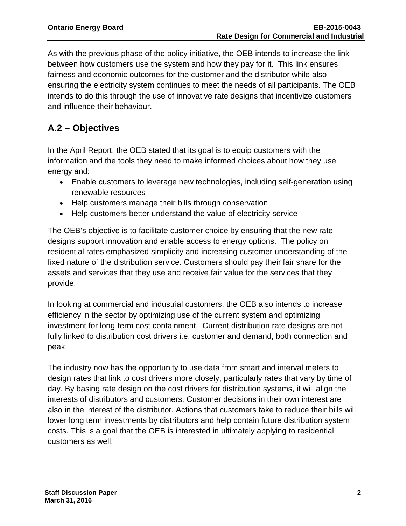As with the previous phase of the policy initiative, the OEB intends to increase the link between how customers use the system and how they pay for it. This link ensures fairness and economic outcomes for the customer and the distributor while also ensuring the electricity system continues to meet the needs of all participants. The OEB intends to do this through the use of innovative rate designs that incentivize customers and influence their behaviour.

# <span id="page-3-0"></span>**A.2 – Objectives**

In the April Report, the OEB stated that its goal is to equip customers with the information and the tools they need to make informed choices about how they use energy and:

- Enable customers to leverage new technologies, including self-generation using renewable resources
- Help customers manage their bills through conservation
- Help customers better understand the value of electricity service

The OEB's objective is to facilitate customer choice by ensuring that the new rate designs support innovation and enable access to energy options. The policy on residential rates emphasized simplicity and increasing customer understanding of the fixed nature of the distribution service. Customers should pay their fair share for the assets and services that they use and receive fair value for the services that they provide.

In looking at commercial and industrial customers, the OEB also intends to increase efficiency in the sector by optimizing use of the current system and optimizing investment for long-term cost containment. Current distribution rate designs are not fully linked to distribution cost drivers i.e. customer and demand, both connection and peak.

The industry now has the opportunity to use data from smart and interval meters to design rates that link to cost drivers more closely, particularly rates that vary by time of day. By basing rate design on the cost drivers for distribution systems, it will align the interests of distributors and customers. Customer decisions in their own interest are also in the interest of the distributor. Actions that customers take to reduce their bills will lower long term investments by distributors and help contain future distribution system costs. This is a goal that the OEB is interested in ultimately applying to residential customers as well.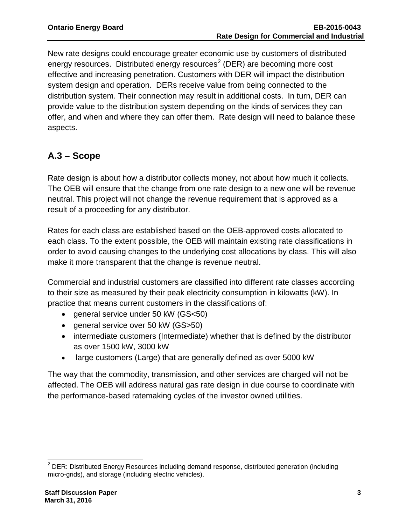New rate designs could encourage greater economic use by customers of distributed energy resources. Distributed energy resources<sup>[2](#page-4-1)</sup> (DER) are becoming more cost effective and increasing penetration. Customers with DER will impact the distribution system design and operation. DERs receive value from being connected to the distribution system. Their connection may result in additional costs. In turn, DER can provide value to the distribution system depending on the kinds of services they can offer, and when and where they can offer them. Rate design will need to balance these aspects.

## <span id="page-4-0"></span>**A.3 – Scope**

Rate design is about how a distributor collects money, not about how much it collects. The OEB will ensure that the change from one rate design to a new one will be revenue neutral. This project will not change the revenue requirement that is approved as a result of a proceeding for any distributor.

Rates for each class are established based on the OEB-approved costs allocated to each class. To the extent possible, the OEB will maintain existing rate classifications in order to avoid causing changes to the underlying cost allocations by class. This will also make it more transparent that the change is revenue neutral.

Commercial and industrial customers are classified into different rate classes according to their size as measured by their peak electricity consumption in kilowatts (kW). In practice that means current customers in the classifications of:

- general service under 50 kW (GS<50)
- general service over 50 kW (GS>50)
- intermediate customers (Intermediate) whether that is defined by the distributor as over 1500 kW, 3000 kW
- large customers (Large) that are generally defined as over 5000 kW

The way that the commodity, transmission, and other services are charged will not be affected. The OEB will address natural gas rate design in due course to coordinate with the performance-based ratemaking cycles of the investor owned utilities.

<span id="page-4-1"></span> $\overline{a}$  $2$  DER: Distributed Energy Resources including demand response, distributed generation (including micro-grids), and storage (including electric vehicles).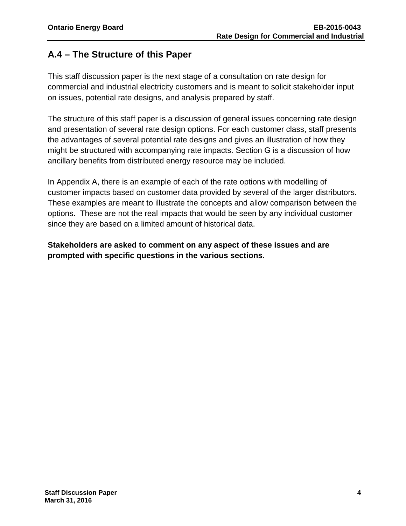# <span id="page-5-0"></span>**A.4 – The Structure of this Paper**

This staff discussion paper is the next stage of a consultation on rate design for commercial and industrial electricity customers and is meant to solicit stakeholder input on issues, potential rate designs, and analysis prepared by staff.

The structure of this staff paper is a discussion of general issues concerning rate design and presentation of several rate design options. For each customer class, staff presents the advantages of several potential rate designs and gives an illustration of how they might be structured with accompanying rate impacts. Section G is a discussion of how ancillary benefits from distributed energy resource may be included.

In Appendix A, there is an example of each of the rate options with modelling of customer impacts based on customer data provided by several of the larger distributors. These examples are meant to illustrate the concepts and allow comparison between the options. These are not the real impacts that would be seen by any individual customer since they are based on a limited amount of historical data.

**Stakeholders are asked to comment on any aspect of these issues and are prompted with specific questions in the various sections.**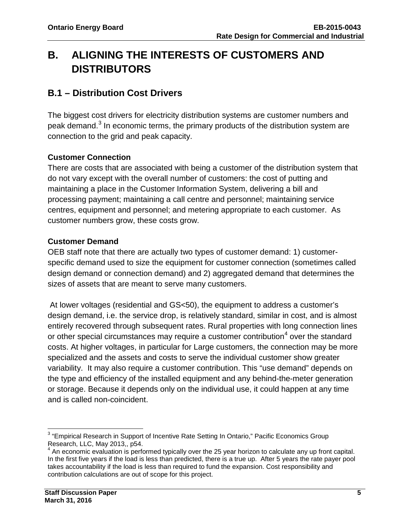# <span id="page-6-0"></span>**B. ALIGNING THE INTERESTS OF CUSTOMERS AND DISTRIBUTORS**

### <span id="page-6-1"></span>**B.1 – Distribution Cost Drivers**

The biggest cost drivers for electricity distribution systems are customer numbers and peak demand.<sup>[3](#page-6-2)</sup> In economic terms, the primary products of the distribution system are connection to the grid and peak capacity.

#### **Customer Connection**

There are costs that are associated with being a customer of the distribution system that do not vary except with the overall number of customers: the cost of putting and maintaining a place in the Customer Information System, delivering a bill and processing payment; maintaining a call centre and personnel; maintaining service centres, equipment and personnel; and metering appropriate to each customer. As customer numbers grow, these costs grow.

#### **Customer Demand**

OEB staff note that there are actually two types of customer demand: 1) customerspecific demand used to size the equipment for customer connection (sometimes called design demand or connection demand) and 2) aggregated demand that determines the sizes of assets that are meant to serve many customers.

At lower voltages (residential and GS<50), the equipment to address a customer's design demand, i.e. the service drop, is relatively standard, similar in cost, and is almost entirely recovered through subsequent rates. Rural properties with long connection lines or other special circumstances may require a customer contribution<sup>[4](#page-6-3)</sup> over the standard costs. At higher voltages, in particular for Large customers, the connection may be more specialized and the assets and costs to serve the individual customer show greater variability. It may also require a customer contribution. This "use demand" depends on the type and efficiency of the installed equipment and any behind-the-meter generation or storage. Because it depends only on the individual use, it could happen at any time and is called non-coincident.

<span id="page-6-2"></span> $\overline{a}$  $3$  "Empirical Research in Support of Incentive Rate Setting In Ontario," Pacific Economics Group Research, LLC, May 2013,, p54.

<span id="page-6-3"></span><sup>4</sup> An economic evaluation is performed typically over the 25 year horizon to calculate any up front capital. In the first five years if the load is less than predicted, there is a true up. After 5 years the rate payer pool takes accountability if the load is less than required to fund the expansion. Cost responsibility and contribution calculations are out of scope for this project.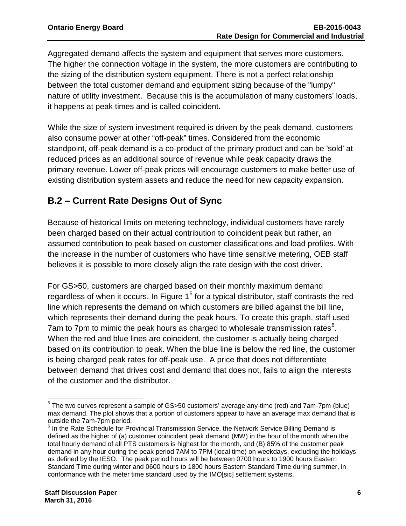Aggregated demand affects the system and equipment that serves more customers. The higher the connection voltage in the system, the more customers are contributing to the sizing of the distribution system equipment. There is not a perfect relationship between the total customer demand and equipment sizing because of the "lumpy" nature of utility investment. Because this is the accumulation of many customers' loads, it happens at peak times and is called coincident.

While the size of system investment required is driven by the peak demand, customers also consume power at other "off-peak" times. Considered from the economic standpoint, off-peak demand is a co-product of the primary product and can be 'sold' at reduced prices as an additional source of revenue while peak capacity draws the primary revenue. Lower off-peak prices will encourage customers to make better use of existing distribution system assets and reduce the need for new capacity expansion.

# <span id="page-7-0"></span>**B.2 – Current Rate Designs Out of Sync**

Because of historical limits on metering technology, individual customers have rarely been charged based on their actual contribution to coincident peak but rather, an assumed contribution to peak based on customer classifications and load profiles. With the increase in the number of customers who have time sensitive metering, OEB staff believes it is possible to more closely align the rate design with the cost driver.

For GS>50, customers are charged based on their monthly maximum demand regardless of when it occurs. In Figure  $1<sup>5</sup>$  $1<sup>5</sup>$  $1<sup>5</sup>$  for a typical distributor, staff contrasts the red line which represents the demand on which customers are billed against the bill line, which represents their demand during the peak hours. To create this graph, staff used 7am to 7pm to mimic the peak hours as charged to wholesale transmission rates $^6$  $^6$ . When the red and blue lines are coincident, the customer is actually being charged based on its contribution to peak. When the blue line is below the red line, the customer is being charged peak rates for off-peak use. A price that does not differentiate between demand that drives cost and demand that does not, fails to align the interests of the customer and the distributor.

<span id="page-7-1"></span> $\overline{a}$  $<sup>5</sup>$  The two curves represent a sample of GS $>50$  customers' average any-time (red) and 7am-7pm (blue)</sup> max demand. The plot shows that a portion of customers appear to have an average max demand that is outside the 7am-7pm period.

<span id="page-7-2"></span>outside the 7am-7pm period.<br><sup>6</sup> In the Rate Schedule for Provincial Transmission Service, the Network Service Billing Demand is defined as the higher of (a) customer coincident peak demand (MW) in the hour of the month when the total hourly demand of all PTS customers is highest for the month, and (B) 85% of the customer peak demand in any hour during the peak period 7AM to 7PM (local time) on weekdays, excluding the holidays as defined by the IESO. The peak period hours will be between 0700 hours to 1900 hours Eastern Standard Time during winter and 0600 hours to 1800 hours Eastern Standard Time during summer, in conformance with the meter time standard used by the IMO[sic] settlement systems.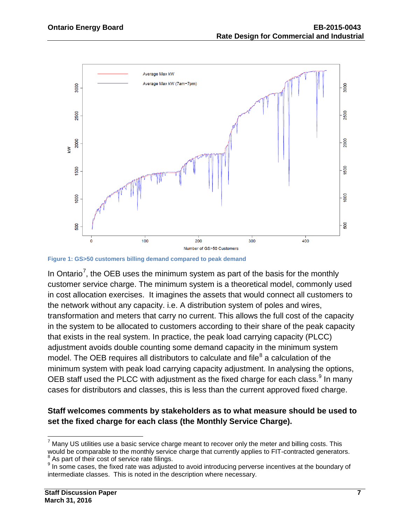

**Figure 1: GS>50 customers billing demand compared to peak demand**

In Ontario<sup>[7](#page-8-0)</sup>, the OEB uses the minimum system as part of the basis for the monthly customer service charge. The minimum system is a theoretical model, commonly used in cost allocation exercises. It imagines the assets that would connect all customers to the network without any capacity. i.e. A distribution system of poles and wires, transformation and meters that carry no current. This allows the full cost of the capacity in the system to be allocated to customers according to their share of the peak capacity that exists in the real system. In practice, the peak load carrying capacity (PLCC) adjustment avoids double counting some demand capacity in the minimum system model. The OEB requires all distributors to calculate and file $^8$  $^8$  a calculation of the minimum system with peak load carrying capacity adjustment. In analysing the options, OEB staff used the PLCC with adjustment as the fixed charge for each class.<sup>[9](#page-8-2)</sup> In many cases for distributors and classes, this is less than the current approved fixed charge.

#### **Staff welcomes comments by stakeholders as to what measure should be used to set the fixed charge for each class (the Monthly Service Charge).**

<span id="page-8-0"></span> $\overline{a}$  $7$  Many US utilities use a basic service charge meant to recover only the meter and billing costs. This would be comparable to the monthly service charge that currently applies to FIT-contracted generators.<br><sup>8</sup> As part of their cost of service rate filings.

<span id="page-8-2"></span><span id="page-8-1"></span><sup>&</sup>lt;sup>9</sup> In some cases, the fixed rate was adjusted to avoid introducing perverse incentives at the boundary of intermediate classes. This is noted in the description where necessary.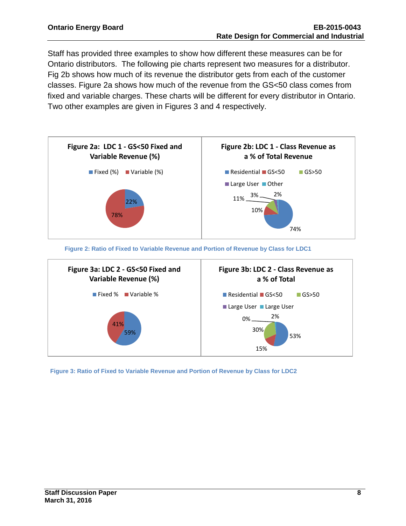Staff has provided three examples to show how different these measures can be for Ontario distributors. The following pie charts represent two measures for a distributor. Fig 2b shows how much of its revenue the distributor gets from each of the customer classes. Figure 2a shows how much of the revenue from the GS<50 class comes from fixed and variable charges. These charts will be different for every distributor in Ontario. Two other examples are given in Figures 3 and 4 respectively.



**Figure 2: Ratio of Fixed to Variable Revenue and Portion of Revenue by Class for LDC1**



**Figure 3: Ratio of Fixed to Variable Revenue and Portion of Revenue by Class for LDC2**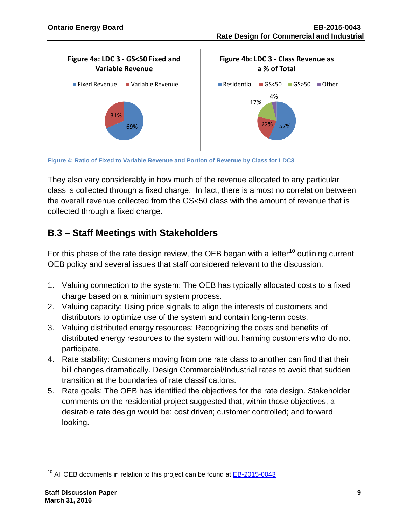



They also vary considerably in how much of the revenue allocated to any particular class is collected through a fixed charge. In fact, there is almost no correlation between the overall revenue collected from the GS<50 class with the amount of revenue that is collected through a fixed charge.

### <span id="page-10-0"></span>**B.3 – Staff Meetings with Stakeholders**

For this phase of the rate design review, the OEB began with a letter<sup>[10](#page-10-1)</sup> outlining current OEB policy and several issues that staff considered relevant to the discussion.

- 1. Valuing connection to the system: The OEB has typically allocated costs to a fixed charge based on a minimum system process.
- 2. Valuing capacity: Using price signals to align the interests of customers and distributors to optimize use of the system and contain long-term costs.
- 3. Valuing distributed energy resources: Recognizing the costs and benefits of distributed energy resources to the system without harming customers who do not participate.
- 4. Rate stability: Customers moving from one rate class to another can find that their bill changes dramatically. Design Commercial/Industrial rates to avoid that sudden transition at the boundaries of rate classifications.
- 5. Rate goals: The OEB has identified the objectives for the rate design. Stakeholder comments on the residential project suggested that, within those objectives, a desirable rate design would be: cost driven; customer controlled; and forward looking.

<span id="page-10-1"></span>  $10$  All OEB documents in relation to this project can be found at  $E$ B-2015-0043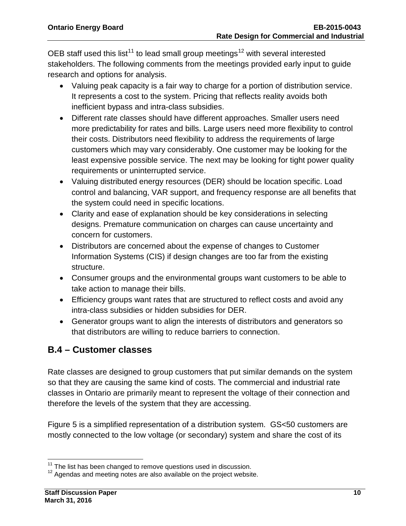OEB staff used this list<sup>[11](#page-11-1)</sup> to lead small group meetings<sup>[12](#page-11-2)</sup> with several interested stakeholders. The following comments from the meetings provided early input to guide research and options for analysis.

- Valuing peak capacity is a fair way to charge for a portion of distribution service. It represents a cost to the system. Pricing that reflects reality avoids both inefficient bypass and intra-class subsidies.
- Different rate classes should have different approaches. Smaller users need more predictability for rates and bills. Large users need more flexibility to control their costs. Distributors need flexibility to address the requirements of large customers which may vary considerably. One customer may be looking for the least expensive possible service. The next may be looking for tight power quality requirements or uninterrupted service.
- Valuing distributed energy resources (DER) should be location specific. Load control and balancing, VAR support, and frequency response are all benefits that the system could need in specific locations.
- Clarity and ease of explanation should be key considerations in selecting designs. Premature communication on charges can cause uncertainty and concern for customers.
- Distributors are concerned about the expense of changes to Customer Information Systems (CIS) if design changes are too far from the existing structure.
- Consumer groups and the environmental groups want customers to be able to take action to manage their bills.
- Efficiency groups want rates that are structured to reflect costs and avoid any intra-class subsidies or hidden subsidies for DER.
- Generator groups want to align the interests of distributors and generators so that distributors are willing to reduce barriers to connection.

# <span id="page-11-0"></span>**B.4 – Customer classes**

Rate classes are designed to group customers that put similar demands on the system so that they are causing the same kind of costs. The commercial and industrial rate classes in Ontario are primarily meant to represent the voltage of their connection and therefore the levels of the system that they are accessing.

Figure 5 is a simplified representation of a distribution system. GS<50 customers are mostly connected to the low voltage (or secondary) system and share the cost of its

<span id="page-11-1"></span><sup>&</sup>lt;sup>11</sup> The list has been changed to remove questions used in discussion.

<span id="page-11-2"></span> $12$  Agendas and meeting notes are also available on the project website.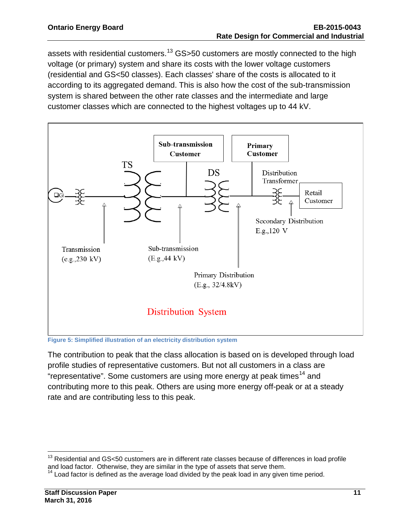assets with residential customers.<sup>[13](#page-12-0)</sup> GS>50 customers are mostly connected to the high voltage (or primary) system and share its costs with the lower voltage customers (residential and GS<50 classes). Each classes' share of the costs is allocated to it according to its aggregated demand. This is also how the cost of the sub-transmission system is shared between the other rate classes and the intermediate and large customer classes which are connected to the highest voltages up to 44 kV.



**Figure 5: Simplified illustration of an electricity distribution system**

The contribution to peak that the class allocation is based on is developed through load profile studies of representative customers. But not all customers in a class are "representative". Some customers are using more energy at peak times<sup>[14](#page-12-1)</sup> and contributing more to this peak. Others are using more energy off-peak or at a steady rate and are contributing less to this peak.

<span id="page-12-0"></span>  $13$  Residential and GS<50 customers are in different rate classes because of differences in load profile and load factor. Otherwise, they are similar in the type of assets that serve them.

<span id="page-12-1"></span> $<sup>1</sup>$  Load factor is defined as the average load divided by the peak load in any given time period.</sup>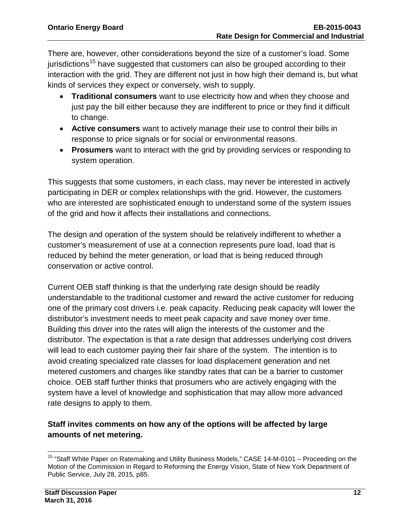There are, however, other considerations beyond the size of a customer's load. Some jurisdictions<sup>[15](#page-13-0)</sup> have suggested that customers can also be grouped according to their interaction with the grid. They are different not just in how high their demand is, but what kinds of services they expect or conversely, wish to supply.

- **Traditional consumers** want to use electricity how and when they choose and just pay the bill either because they are indifferent to price or they find it difficult to change.
- **Active consumers** want to actively manage their use to control their bills in response to price signals or for social or environmental reasons.
- **Prosumers** want to interact with the grid by providing services or responding to system operation.

This suggests that some customers, in each class, may never be interested in actively participating in DER or complex relationships with the grid. However, the customers who are interested are sophisticated enough to understand some of the system issues of the grid and how it affects their installations and connections.

The design and operation of the system should be relatively indifferent to whether a customer's measurement of use at a connection represents pure load, load that is reduced by behind the meter generation, or load that is being reduced through conservation or active control.

Current OEB staff thinking is that the underlying rate design should be readily understandable to the traditional customer and reward the active customer for reducing one of the primary cost drivers i.e. peak capacity. Reducing peak capacity will lower the distributor's investment needs to meet peak capacity and save money over time. Building this driver into the rates will align the interests of the customer and the distributor. The expectation is that a rate design that addresses underlying cost drivers will lead to each customer paying their fair share of the system. The intention is to avoid creating specialized rate classes for load displacement generation and net metered customers and charges like standby rates that can be a barrier to customer choice. OEB staff further thinks that prosumers who are actively engaging with the system have a level of knowledge and sophistication that may allow more advanced rate designs to apply to them.

#### **Staff invites comments on how any of the options will be affected by large amounts of net metering.**

<span id="page-13-0"></span> <sup>15</sup> "Staff White Paper on Ratemaking and Utility Business Models," CASE 14-M-0101 – Proceeding on the Motion of the Commission in Regard to Reforming the Energy Vision, State of New York Department of Public Service, July 28, 2015, p85.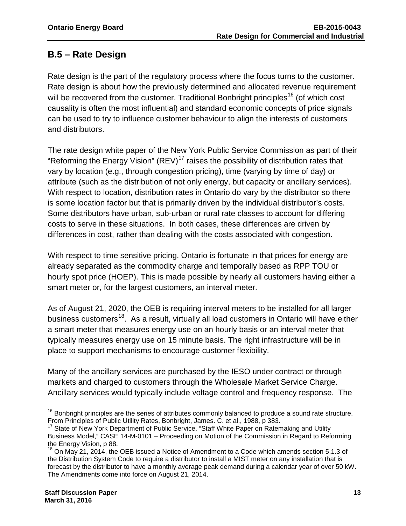## <span id="page-14-0"></span>**B.5 – Rate Design**

Rate design is the part of the regulatory process where the focus turns to the customer. Rate design is about how the previously determined and allocated revenue requirement will be recovered from the customer. Traditional Bonbright principles<sup>[16](#page-14-1)</sup> (of which cost causality is often the most influential) and standard economic concepts of price signals can be used to try to influence customer behaviour to align the interests of customers and distributors.

The rate design white paper of the New York Public Service Commission as part of their "Reforming the Energy Vision" (REV)<sup>[17](#page-14-2)</sup> raises the possibility of distribution rates that vary by location (e.g., through congestion pricing), time (varying by time of day) or attribute (such as the distribution of not only energy, but capacity or ancillary services). With respect to location, distribution rates in Ontario do vary by the distributor so there is some location factor but that is primarily driven by the individual distributor's costs. Some distributors have urban, sub-urban or rural rate classes to account for differing costs to serve in these situations. In both cases, these differences are driven by differences in cost, rather than dealing with the costs associated with congestion.

With respect to time sensitive pricing, Ontario is fortunate in that prices for energy are already separated as the commodity charge and temporally based as RPP TOU or hourly spot price (HOEP). This is made possible by nearly all customers having either a smart meter or, for the largest customers, an interval meter.

As of August 21, 2020, the OEB is requiring interval meters to be installed for all larger business customers<sup>[18](#page-14-3)</sup>. As a result, virtually all load customers in Ontario will have either a smart meter that measures energy use on an hourly basis or an interval meter that typically measures energy use on 15 minute basis. The right infrastructure will be in place to support mechanisms to encourage customer flexibility.

Many of the ancillary services are purchased by the IESO under contract or through markets and charged to customers through the Wholesale Market Service Charge. Ancillary services would typically include voltage control and frequency response. The

<span id="page-14-1"></span> <sup>16</sup> Bonbright principles are the series of attributes commonly balanced to produce a sound rate structure. From Principles of Public Utility Rates, Bonbright, James. C. et al., 1988, p 383.<br><sup>17</sup> State of New York Department of Public Service, "Staff White Paper on Ratemaking and Utility

<span id="page-14-2"></span>Business Model," CASE 14-M-0101 – Proceeding on Motion of the Commission in Regard to Reforming the Energy Vision, p 88.

<span id="page-14-3"></span> $18$  On May 21, 2014, the OEB issued a Notice of Amendment to a Code which amends section 5.1.3 of the Distribution System Code to require a distributor to install a MIST meter on any installation that is forecast by the distributor to have a monthly average peak demand during a calendar year of over 50 kW. The Amendments come into force on August 21, 2014.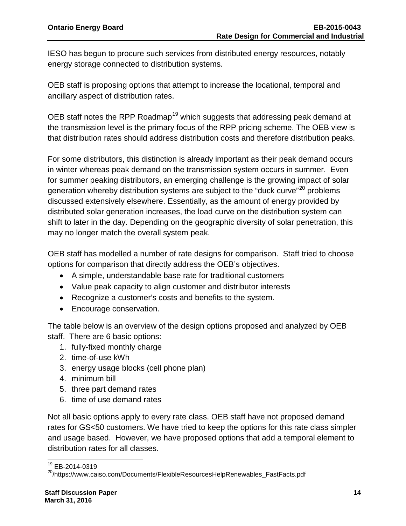IESO has begun to procure such services from distributed energy resources, notably energy storage connected to distribution systems.

OEB staff is proposing options that attempt to increase the locational, temporal and ancillary aspect of distribution rates.

OEB staff notes the RPP Roadmap<sup>[19](#page-15-0)</sup> which suggests that addressing peak demand at the transmission level is the primary focus of the RPP pricing scheme. The OEB view is that distribution rates should address distribution costs and therefore distribution peaks.

For some distributors, this distinction is already important as their peak demand occurs in winter whereas peak demand on the transmission system occurs in summer. Even for summer peaking distributors, an emerging challenge is the growing impact of solar generation whereby distribution systems are subject to the "duck curve"<sup>[20](#page-15-1)</sup> problems discussed extensively elsewhere. Essentially, as the amount of energy provided by distributed solar generation increases, the load curve on the distribution system can shift to later in the day. Depending on the geographic diversity of solar penetration, this may no longer match the overall system peak.

OEB staff has modelled a number of rate designs for comparison. Staff tried to choose options for comparison that directly address the OEB's objectives.

- A simple, understandable base rate for traditional customers
- Value peak capacity to align customer and distributor interests
- Recognize a customer's costs and benefits to the system.
- Encourage conservation.

The table below is an overview of the design options proposed and analyzed by OEB staff. There are 6 basic options:

- 1. fully-fixed monthly charge
- 2. time-of-use kWh
- 3. energy usage blocks (cell phone plan)
- 4. minimum bill
- 5. three part demand rates
- 6. time of use demand rates

Not all basic options apply to every rate class. OEB staff have not proposed demand rates for GS<50 customers. We have tried to keep the options for this rate class simpler and usage based. However, we have proposed options that add a temporal element to distribution rates for all classes.

  $^{19}$  EB-2014-0319

<span id="page-15-1"></span><span id="page-15-0"></span><sup>&</sup>lt;sup>20</sup>/https://www.caiso.com/Documents/FlexibleResourcesHelpRenewables\_FastFacts.pdf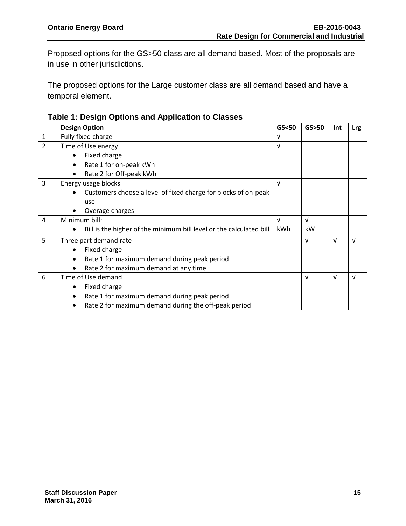Proposed options for the GS>50 class are all demand based. Most of the proposals are in use in other jurisdictions.

The proposed options for the Large customer class are all demand based and have a temporal element.

| Table 1: Design Options and Application to Classes |  |  |  |  |
|----------------------------------------------------|--|--|--|--|
|----------------------------------------------------|--|--|--|--|

|                | <b>Design Option</b>                                                        | GS < 50    | GS>50      | Int | <b>Lrg</b> |
|----------------|-----------------------------------------------------------------------------|------------|------------|-----|------------|
| $\mathbf{1}$   | Fully fixed charge                                                          | v          |            |     |            |
| $\overline{2}$ | Time of Use energy                                                          | V          |            |     |            |
|                | Fixed charge<br>$\bullet$                                                   |            |            |     |            |
|                | Rate 1 for on-peak kWh<br>$\bullet$                                         |            |            |     |            |
|                | Rate 2 for Off-peak kWh<br>$\bullet$                                        |            |            |     |            |
| 3              | Energy usage blocks                                                         | $\sqrt{ }$ |            |     |            |
|                | Customers choose a level of fixed charge for blocks of on-peak<br>$\bullet$ |            |            |     |            |
|                | use                                                                         |            |            |     |            |
|                | Overage charges                                                             |            |            |     |            |
| 4              | Minimum bill:                                                               | v          | $\sqrt{ }$ |     |            |
|                | Bill is the higher of the minimum bill level or the calculated bill         | kWh        | kW         |     |            |
| 5              | Three part demand rate                                                      |            | v          | V   | V          |
|                | Fixed charge                                                                |            |            |     |            |
|                | Rate 1 for maximum demand during peak period<br>$\bullet$                   |            |            |     |            |
|                | Rate 2 for maximum demand at any time<br>$\bullet$                          |            |            |     |            |
| 6              | Time of Use demand                                                          |            | $\sqrt{ }$ | v   | $\sqrt{ }$ |
|                | Fixed charge<br>$\bullet$                                                   |            |            |     |            |
|                | Rate 1 for maximum demand during peak period                                |            |            |     |            |
|                | Rate 2 for maximum demand during the off-peak period<br>٠                   |            |            |     |            |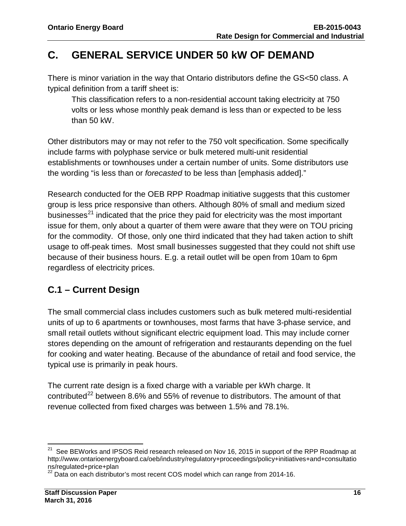# <span id="page-17-0"></span>**C. GENERAL SERVICE UNDER 50 kW OF DEMAND**

There is minor variation in the way that Ontario distributors define the GS<50 class. A typical definition from a tariff sheet is:

This classification refers to a non-residential account taking electricity at 750 volts or less whose monthly peak demand is less than or expected to be less than 50 kW.

Other distributors may or may not refer to the 750 volt specification. Some specifically include farms with polyphase service or bulk metered multi-unit residential establishments or townhouses under a certain number of units. Some distributors use the wording "is less than or *forecasted* to be less than [emphasis added]."

Research conducted for the OEB RPP Roadmap initiative suggests that this customer group is less price responsive than others. Although 80% of small and medium sized businesses $^{21}$  $^{21}$  $^{21}$  indicated that the price they paid for electricity was the most important issue for them, only about a quarter of them were aware that they were on TOU pricing for the commodity. Of those, only one third indicated that they had taken action to shift usage to off-peak times. Most small businesses suggested that they could not shift use because of their business hours. E.g. a retail outlet will be open from 10am to 6pm regardless of electricity prices.

### <span id="page-17-1"></span>**C.1 – Current Design**

The small commercial class includes customers such as bulk metered multi-residential units of up to 6 apartments or townhouses, most farms that have 3-phase service, and small retail outlets without significant electric equipment load. This may include corner stores depending on the amount of refrigeration and restaurants depending on the fuel for cooking and water heating. Because of the abundance of retail and food service, the typical use is primarily in peak hours.

The current rate design is a fixed charge with a variable per kWh charge. It contributed<sup>[22](#page-17-3)</sup> between 8.6% and 55% of revenue to distributors. The amount of that revenue collected from fixed charges was between 1.5% and 78.1%.

<span id="page-17-2"></span> $\overline{\phantom{a}}$  $21$  See BEWorks and IPSOS Reid research released on Nov 16, 2015 in support of the RPP Roadmap at http://www.ontarioenergyboard.ca/oeb/industry/regulatory+proceedings/policy+initiatives+and+consultatio<br>ns/regulated+price+plan<br>22 Deta example: interview

<span id="page-17-3"></span>Data on each distributor's most recent COS model which can range from 2014-16.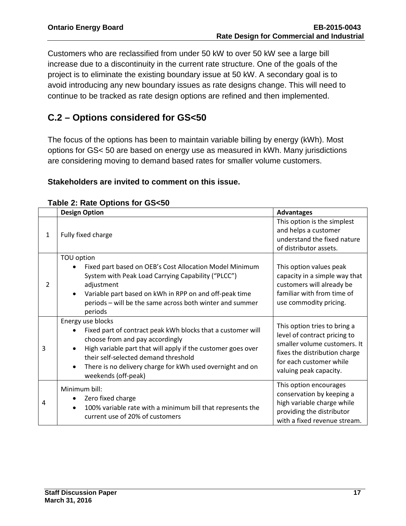Customers who are reclassified from under 50 kW to over 50 kW see a large bill increase due to a discontinuity in the current rate structure. One of the goals of the project is to eliminate the existing boundary issue at 50 kW. A secondary goal is to avoid introducing any new boundary issues as rate designs change. This will need to continue to be tracked as rate design options are refined and then implemented.

# <span id="page-18-0"></span>**C.2 – Options considered for GS<50**

The focus of the options has been to maintain variable billing by energy (kWh). Most options for GS< 50 are based on energy use as measured in kWh. Many jurisdictions are considering moving to demand based rates for smaller volume customers.

#### **Stakeholders are invited to comment on this issue.**

|                | <b>Design Option</b>                                                                                                                                                                                                                                                                                                                                   | <b>Advantages</b>                                                                                                                                                                  |
|----------------|--------------------------------------------------------------------------------------------------------------------------------------------------------------------------------------------------------------------------------------------------------------------------------------------------------------------------------------------------------|------------------------------------------------------------------------------------------------------------------------------------------------------------------------------------|
| $\mathbf{1}$   | Fully fixed charge                                                                                                                                                                                                                                                                                                                                     | This option is the simplest<br>and helps a customer<br>understand the fixed nature<br>of distributor assets.                                                                       |
| 2              | TOU option<br>Fixed part based on OEB's Cost Allocation Model Minimum<br>$\bullet$<br>System with Peak Load Carrying Capability ("PLCC")<br>adjustment<br>Variable part based on kWh in RPP on and off-peak time<br>$\bullet$<br>periods - will be the same across both winter and summer<br>periods                                                   | This option values peak<br>capacity in a simple way that<br>customers will already be<br>familiar with from time of<br>use commodity pricing.                                      |
| 3              | Energy use blocks<br>Fixed part of contract peak kWh blocks that a customer will<br>$\bullet$<br>choose from and pay accordingly<br>High variable part that will apply if the customer goes over<br>$\bullet$<br>their self-selected demand threshold<br>There is no delivery charge for kWh used overnight and on<br>$\bullet$<br>weekends (off-peak) | This option tries to bring a<br>level of contract pricing to<br>smaller volume customers. It<br>fixes the distribution charge<br>for each customer while<br>valuing peak capacity. |
| $\overline{a}$ | Minimum bill:<br>Zero fixed charge<br>٠<br>100% variable rate with a minimum bill that represents the<br>$\bullet$<br>current use of 20% of customers                                                                                                                                                                                                  | This option encourages<br>conservation by keeping a<br>high variable charge while<br>providing the distributor<br>with a fixed revenue stream.                                     |

#### **Table 2: Rate Options for GS<50**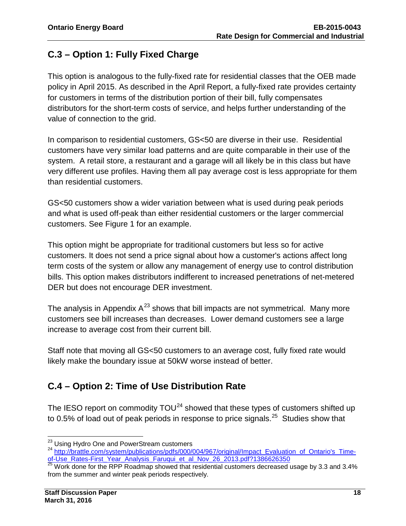# <span id="page-19-0"></span>**C.3 – Option 1: Fully Fixed Charge**

This option is analogous to the fully-fixed rate for residential classes that the OEB made policy in April 2015. As described in the April Report, a fully-fixed rate provides certainty for customers in terms of the distribution portion of their bill, fully compensates distributors for the short-term costs of service, and helps further understanding of the value of connection to the grid.

In comparison to residential customers, GS<50 are diverse in their use. Residential customers have very similar load patterns and are quite comparable in their use of the system. A retail store, a restaurant and a garage will all likely be in this class but have very different use profiles. Having them all pay average cost is less appropriate for them than residential customers.

GS<50 customers show a wider variation between what is used during peak periods and what is used off-peak than either residential customers or the larger commercial customers. See Figure 1 for an example.

This option might be appropriate for traditional customers but less so for active customers. It does not send a price signal about how a customer's actions affect long term costs of the system or allow any management of energy use to control distribution bills. This option makes distributors indifferent to increased penetrations of net-metered DER but does not encourage DER investment.

The analysis in Appendix  $A^{23}$  $A^{23}$  $A^{23}$  shows that bill impacts are not symmetrical. Many more customers see bill increases than decreases. Lower demand customers see a large increase to average cost from their current bill.

Staff note that moving all GS<50 customers to an average cost, fully fixed rate would likely make the boundary issue at 50kW worse instead of better.

# <span id="page-19-1"></span>**C.4 – Option 2: Time of Use Distribution Rate**

The IESO report on commodity  $TOU<sup>24</sup>$  $TOU<sup>24</sup>$  $TOU<sup>24</sup>$  showed that these types of customers shifted up to 0.5% of load out of peak periods in response to price signals.<sup>25</sup> Studies show that

<sup>&</sup>lt;sup>23</sup> Using Hydro One and PowerStream customers

<span id="page-19-3"></span><span id="page-19-2"></span><sup>24</sup> [http://brattle.com/system/publications/pdfs/000/004/967/original/Impact\\_Evaluation\\_of\\_Ontario's\\_Time](http://brattle.com/system/publications/pdfs/000/004/967/original/Impact_Evaluation_of_Ontario)[of-Use\\_Rates-First\\_Year\\_Analysis\\_Faruqui\\_et\\_al\\_Nov\\_26\\_2013.pdf?1386626350](http://brattle.com/system/publications/pdfs/000/004/967/original/Impact_Evaluation_of_Ontario) 25 25 Work done for the RPP Roadmap showed that residential customers decreased usage by 3.3 and 3.4%

<span id="page-19-4"></span>from the summer and winter peak periods respectively.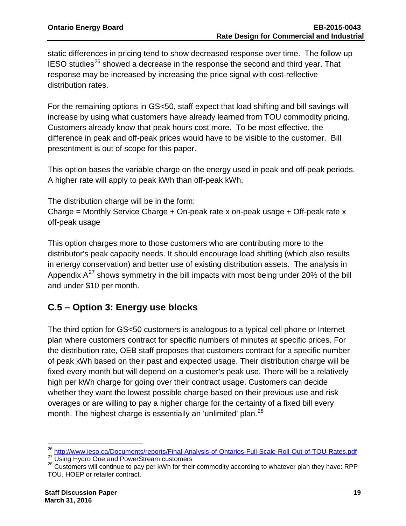static differences in pricing tend to show decreased response over time. The follow-up  $IESO$  studies<sup>[26](#page-20-1)</sup> showed a decrease in the response the second and third year. That response may be increased by increasing the price signal with cost-reflective distribution rates.

For the remaining options in GS<50, staff expect that load shifting and bill savings will increase by using what customers have already learned from TOU commodity pricing. Customers already know that peak hours cost more. To be most effective, the difference in peak and off-peak prices would have to be visible to the customer. Bill presentment is out of scope for this paper.

This option bases the variable charge on the energy used in peak and off-peak periods. A higher rate will apply to peak kWh than off-peak kWh.

The distribution charge will be in the form: Charge = Monthly Service Charge + On-peak rate x on-peak usage + Off-peak rate x off-peak usage

This option charges more to those customers who are contributing more to the distributor's peak capacity needs. It should encourage load shifting (which also results in energy conservation) and better use of existing distribution assets. The analysis in Appendix  $A^{27}$  $A^{27}$  $A^{27}$  shows symmetry in the bill impacts with most being under 20% of the bill and under \$10 per month.

# <span id="page-20-0"></span>**C.5 – Option 3: Energy use blocks**

The third option for GS<50 customers is analogous to a typical cell phone or Internet plan where customers contract for specific numbers of minutes at specific prices. For the distribution rate, OEB staff proposes that customers contract for a specific number of peak kWh based on their past and expected usage. Their distribution charge will be fixed every month but will depend on a customer's peak use. There will be a relatively high per kWh charge for going over their contract usage. Customers can decide whether they want the lowest possible charge based on their previous use and risk overages or are willing to pay a higher charge for the certainty of a fixed bill every month. The highest charge is essentially an 'unlimited' plan.<sup>28</sup>

<span id="page-20-1"></span><sup>&</sup>lt;sup>26</sup> http://www.ieso.ca/Documents/reports/Final-Analysis-of-Ontarios-Full-Scale-Roll-Out-of-TOU-Rates.pdf

<span id="page-20-3"></span><span id="page-20-2"></span><sup>&</sup>lt;sup>27</sup> Using Hydro One and PowerStream customers<br><sup>28</sup> Customers will continue to pay per kWh for their commodity according to whatever plan they have: RPP TOU, HOEP or retailer contract.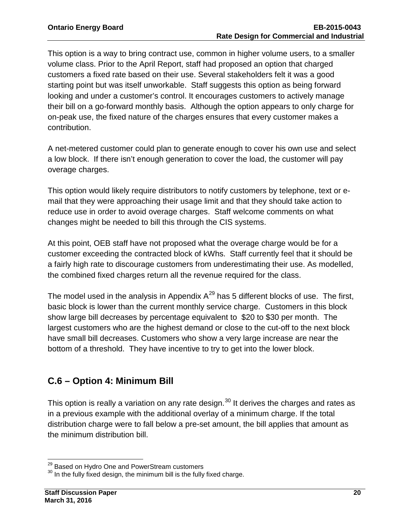This option is a way to bring contract use, common in higher volume users, to a smaller volume class. Prior to the April Report, staff had proposed an option that charged customers a fixed rate based on their use. Several stakeholders felt it was a good starting point but was itself unworkable. Staff suggests this option as being forward looking and under a customer's control. It encourages customers to actively manage their bill on a go-forward monthly basis. Although the option appears to only charge for on-peak use, the fixed nature of the charges ensures that every customer makes a contribution.

A net-metered customer could plan to generate enough to cover his own use and select a low block. If there isn't enough generation to cover the load, the customer will pay overage charges.

This option would likely require distributors to notify customers by telephone, text or email that they were approaching their usage limit and that they should take action to reduce use in order to avoid overage charges. Staff welcome comments on what changes might be needed to bill this through the CIS systems.

At this point, OEB staff have not proposed what the overage charge would be for a customer exceeding the contracted block of kWhs. Staff currently feel that it should be a fairly high rate to discourage customers from underestimating their use. As modelled, the combined fixed charges return all the revenue required for the class.

The model used in the analysis in Appendix  $A^{29}$  $A^{29}$  $A^{29}$  has 5 different blocks of use. The first, basic block is lower than the current monthly service charge. Customers in this block show large bill decreases by percentage equivalent to \$20 to \$30 per month. The largest customers who are the highest demand or close to the cut-off to the next block have small bill decreases. Customers who show a very large increase are near the bottom of a threshold. They have incentive to try to get into the lower block.

### <span id="page-21-0"></span>**C.6 – Option 4: Minimum Bill**

This option is really a variation on any rate design. $^{30}$  $^{30}$  $^{30}$  It derives the charges and rates as in a previous example with the additional overlay of a minimum charge. If the total distribution charge were to fall below a pre-set amount, the bill applies that amount as the minimum distribution bill.

<span id="page-21-1"></span><sup>&</sup>lt;sup>29</sup> Based on Hydro One and PowerStream customers

<span id="page-21-2"></span><sup>&</sup>lt;sup>30</sup> In the fully fixed design, the minimum bill is the fully fixed charge.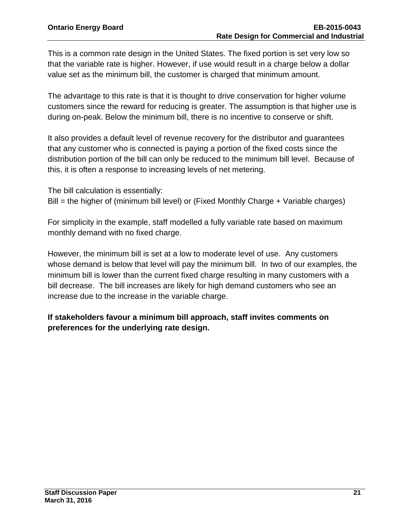This is a common rate design in the United States. The fixed portion is set very low so that the variable rate is higher. However, if use would result in a charge below a dollar value set as the minimum bill, the customer is charged that minimum amount.

The advantage to this rate is that it is thought to drive conservation for higher volume customers since the reward for reducing is greater. The assumption is that higher use is during on-peak. Below the minimum bill, there is no incentive to conserve or shift.

It also provides a default level of revenue recovery for the distributor and guarantees that any customer who is connected is paying a portion of the fixed costs since the distribution portion of the bill can only be reduced to the minimum bill level. Because of this, it is often a response to increasing levels of net metering.

The bill calculation is essentially: Bill = the higher of (minimum bill level) or (Fixed Monthly Charge + Variable charges)

For simplicity in the example, staff modelled a fully variable rate based on maximum monthly demand with no fixed charge.

However, the minimum bill is set at a low to moderate level of use. Any customers whose demand is below that level will pay the minimum bill. In two of our examples, the minimum bill is lower than the current fixed charge resulting in many customers with a bill decrease. The bill increases are likely for high demand customers who see an increase due to the increase in the variable charge.

**If stakeholders favour a minimum bill approach, staff invites comments on preferences for the underlying rate design.**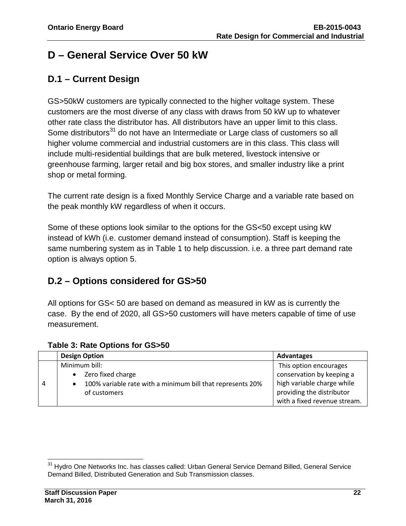# <span id="page-23-0"></span>**D – General Service Over 50 kW**

# <span id="page-23-1"></span>**D.1 – Current Design**

GS>50kW customers are typically connected to the higher voltage system. These customers are the most diverse of any class with draws from 50 kW up to whatever other rate class the distributor has. All distributors have an upper limit to this class. Some distributors<sup>[31](#page-23-3)</sup> do not have an Intermediate or Large class of customers so all higher volume commercial and industrial customers are in this class. This class will include multi-residential buildings that are bulk metered, livestock intensive or greenhouse farming, larger retail and big box stores, and smaller industry like a print shop or metal forming.

The current rate design is a fixed Monthly Service Charge and a variable rate based on the peak monthly kW regardless of when it occurs.

Some of these options look similar to the options for the GS<50 except using kW instead of kWh (i.e. customer demand instead of consumption). Staff is keeping the same numbering system as in Table 1 to help discussion. i.e. a three part demand rate option is always option 5.

### <span id="page-23-2"></span>**D.2 – Options considered for GS>50**

All options for GS< 50 are based on demand as measured in kW as is currently the case. By the end of 2020, all GS>50 customers will have meters capable of time of use measurement.

|               |           | <b>Design Option</b>                                       | Advantages                   |
|---------------|-----------|------------------------------------------------------------|------------------------------|
| Minimum bill: |           |                                                            | This option encourages       |
|               | $\bullet$ | Zero fixed charge                                          | conservation by keeping a    |
|               |           | 100% variable rate with a minimum bill that represents 20% | high variable charge while   |
|               |           | of customers                                               | providing the distributor    |
|               |           |                                                            | with a fixed revenue stream. |

#### **Table 3: Rate Options for GS>50**

<span id="page-23-3"></span> $\overline{a}$ <sup>31</sup> Hydro One Networks Inc. has classes called: Urban General Service Demand Billed, General Service Demand Billed, Distributed Generation and Sub Transmission classes.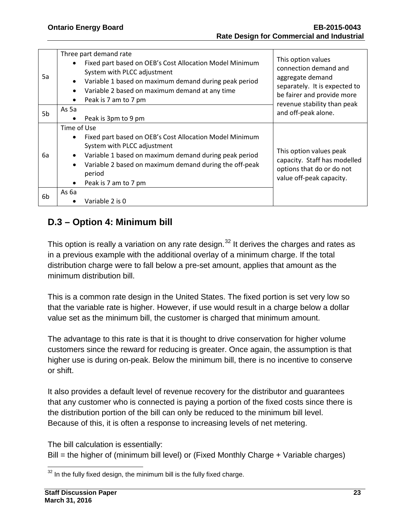| 5a | Three part demand rate<br>Fixed part based on OEB's Cost Allocation Model Minimum<br>$\bullet$<br>System with PLCC adjustment<br>Variable 1 based on maximum demand during peak period<br>$\bullet$<br>Variable 2 based on maximum demand at any time<br>$\bullet$<br>Peak is 7 am to 7 pm<br>$\bullet$ | This option values<br>connection demand and<br>aggregate demand<br>separately. It is expected to<br>be fairer and provide more<br>revenue stability than peak |  |
|----|---------------------------------------------------------------------------------------------------------------------------------------------------------------------------------------------------------------------------------------------------------------------------------------------------------|---------------------------------------------------------------------------------------------------------------------------------------------------------------|--|
| 5b | As 5a<br>Peak is 3pm to 9 pm<br>٠                                                                                                                                                                                                                                                                       | and off-peak alone.                                                                                                                                           |  |
| 6а | Time of Use<br>Fixed part based on OEB's Cost Allocation Model Minimum<br>$\bullet$<br>System with PLCC adjustment<br>Variable 1 based on maximum demand during peak period<br>$\bullet$<br>Variable 2 based on maximum demand during the off-peak<br>$\bullet$<br>period<br>Peak is 7 am to 7 pm<br>٠  | This option values peak<br>capacity. Staff has modelled<br>options that do or do not<br>value off-peak capacity.                                              |  |
| 6b | As 6a<br>Variable 2 is 0                                                                                                                                                                                                                                                                                |                                                                                                                                                               |  |

# <span id="page-24-0"></span>**D.3 – Option 4: Minimum bill**

This option is really a variation on any rate design.<sup>[32](#page-24-1)</sup> It derives the charges and rates as in a previous example with the additional overlay of a minimum charge. If the total distribution charge were to fall below a pre-set amount, applies that amount as the minimum distribution bill.

This is a common rate design in the United States. The fixed portion is set very low so that the variable rate is higher. However, if use would result in a charge below a dollar value set as the minimum bill, the customer is charged that minimum amount.

The advantage to this rate is that it is thought to drive conservation for higher volume customers since the reward for reducing is greater. Once again, the assumption is that higher use is during on-peak. Below the minimum bill, there is no incentive to conserve or shift.

It also provides a default level of revenue recovery for the distributor and guarantees that any customer who is connected is paying a portion of the fixed costs since there is the distribution portion of the bill can only be reduced to the minimum bill level. Because of this, it is often a response to increasing levels of net metering.

The bill calculation is essentially:

Bill = the higher of (minimum bill level) or (Fixed Monthly Charge + Variable charges)

<span id="page-24-1"></span> $\overline{a}$  $32$  In the fully fixed design, the minimum bill is the fully fixed charge.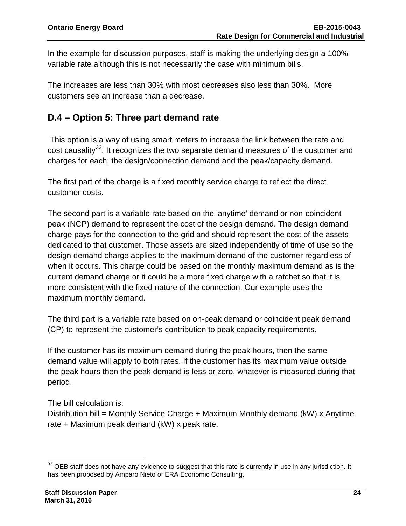In the example for discussion purposes, staff is making the underlying design a 100% variable rate although this is not necessarily the case with minimum bills.

The increases are less than 30% with most decreases also less than 30%. More customers see an increase than a decrease.

### <span id="page-25-0"></span>**D.4 – Option 5: Three part demand rate**

This option is a way of using smart meters to increase the link between the rate and cost causality<sup>[33](#page-25-1)</sup>. It recognizes the two separate demand measures of the customer and charges for each: the design/connection demand and the peak/capacity demand.

The first part of the charge is a fixed monthly service charge to reflect the direct customer costs.

The second part is a variable rate based on the 'anytime' demand or non-coincident peak (NCP) demand to represent the cost of the design demand. The design demand charge pays for the connection to the grid and should represent the cost of the assets dedicated to that customer. Those assets are sized independently of time of use so the design demand charge applies to the maximum demand of the customer regardless of when it occurs. This charge could be based on the monthly maximum demand as is the current demand charge or it could be a more fixed charge with a ratchet so that it is more consistent with the fixed nature of the connection. Our example uses the maximum monthly demand.

The third part is a variable rate based on on-peak demand or coincident peak demand (CP) to represent the customer's contribution to peak capacity requirements.

If the customer has its maximum demand during the peak hours, then the same demand value will apply to both rates. If the customer has its maximum value outside the peak hours then the peak demand is less or zero, whatever is measured during that period.

The bill calculation is:

Distribution bill = Monthly Service Charge + Maximum Monthly demand (kW) x Anytime rate + Maximum peak demand (kW) x peak rate.

<span id="page-25-1"></span> $\overline{a}$  $33$  OEB staff does not have any evidence to suggest that this rate is currently in use in any jurisdiction. It has been proposed by Amparo Nieto of ERA Economic Consulting.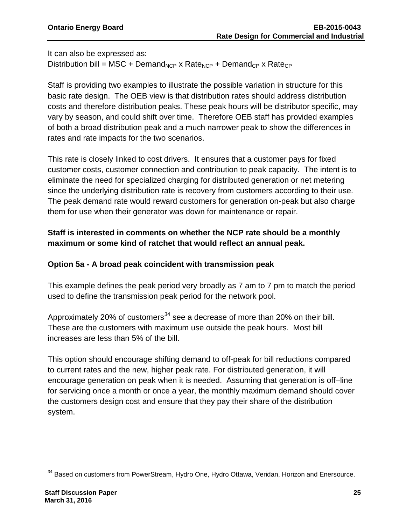It can also be expressed as:

Distribution bill = MSC + Demand<sub>NCP</sub> x Rate<sub>NCP</sub> + Demand<sub>CP</sub> x Rate<sub>CP</sub>

Staff is providing two examples to illustrate the possible variation in structure for this basic rate design. The OEB view is that distribution rates should address distribution costs and therefore distribution peaks. These peak hours will be distributor specific, may vary by season, and could shift over time. Therefore OEB staff has provided examples of both a broad distribution peak and a much narrower peak to show the differences in rates and rate impacts for the two scenarios.

This rate is closely linked to cost drivers. It ensures that a customer pays for fixed customer costs, customer connection and contribution to peak capacity. The intent is to eliminate the need for specialized charging for distributed generation or net metering since the underlying distribution rate is recovery from customers according to their use. The peak demand rate would reward customers for generation on-peak but also charge them for use when their generator was down for maintenance or repair.

#### **Staff is interested in comments on whether the NCP rate should be a monthly maximum or some kind of ratchet that would reflect an annual peak.**

#### **Option 5a - A broad peak coincident with transmission peak**

This example defines the peak period very broadly as 7 am to 7 pm to match the period used to define the transmission peak period for the network pool.

Approximately 20% of customers<sup>[34](#page-26-0)</sup> see a decrease of more than 20% on their bill. These are the customers with maximum use outside the peak hours. Most bill increases are less than 5% of the bill.

This option should encourage shifting demand to off-peak for bill reductions compared to current rates and the new, higher peak rate. For distributed generation, it will encourage generation on peak when it is needed. Assuming that generation is off–line for servicing once a month or once a year, the monthly maximum demand should cover the customers design cost and ensure that they pay their share of the distribution system.

<span id="page-26-0"></span> $\overline{a}$  $34$  Based on customers from PowerStream, Hydro One, Hydro Ottawa, Veridan, Horizon and Enersource.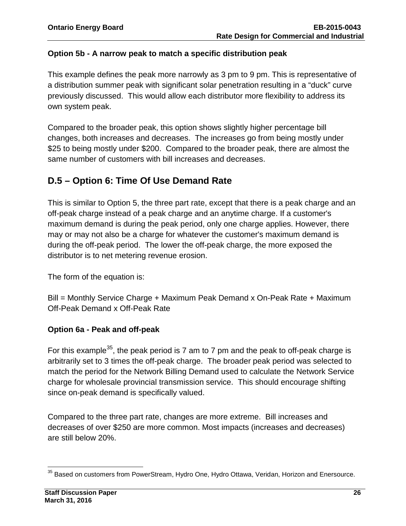#### **Option 5b - A narrow peak to match a specific distribution peak**

This example defines the peak more narrowly as 3 pm to 9 pm. This is representative of a distribution summer peak with significant solar penetration resulting in a "duck" curve previously discussed. This would allow each distributor more flexibility to address its own system peak.

Compared to the broader peak, this option shows slightly higher percentage bill changes, both increases and decreases. The increases go from being mostly under \$25 to being mostly under \$200. Compared to the broader peak, there are almost the same number of customers with bill increases and decreases.

### <span id="page-27-0"></span>**D.5 – Option 6: Time Of Use Demand Rate**

This is similar to Option 5, the three part rate, except that there is a peak charge and an off-peak charge instead of a peak charge and an anytime charge. If a customer's maximum demand is during the peak period, only one charge applies. However, there may or may not also be a charge for whatever the customer's maximum demand is during the off-peak period. The lower the off-peak charge, the more exposed the distributor is to net metering revenue erosion.

The form of the equation is:

Bill = Monthly Service Charge + Maximum Peak Demand x On-Peak Rate + Maximum Off-Peak Demand x Off-Peak Rate

#### **Option 6a - Peak and off-peak**

For this example<sup>[35](#page-27-1)</sup>, the peak period is 7 am to 7 pm and the peak to off-peak charge is arbitrarily set to 3 times the off-peak charge. The broader peak period was selected to match the period for the Network Billing Demand used to calculate the Network Service charge for wholesale provincial transmission service. This should encourage shifting since on-peak demand is specifically valued.

Compared to the three part rate, changes are more extreme. Bill increases and decreases of over \$250 are more common. Most impacts (increases and decreases) are still below 20%.

<span id="page-27-1"></span> $\overline{a}$  $^{35}$  Based on customers from PowerStream, Hydro One, Hydro Ottawa, Veridan, Horizon and Enersource.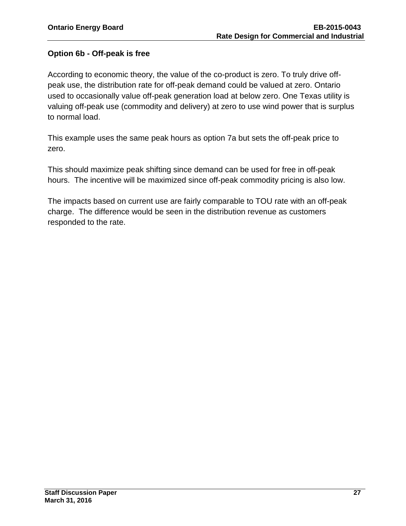#### **Option 6b - Off-peak is free**

According to economic theory, the value of the co-product is zero. To truly drive offpeak use, the distribution rate for off-peak demand could be valued at zero. Ontario used to occasionally value off-peak generation load at below zero. One Texas utility is valuing off-peak use (commodity and delivery) at zero to use wind power that is surplus to normal load.

This example uses the same peak hours as option 7a but sets the off-peak price to zero.

This should maximize peak shifting since demand can be used for free in off-peak hours. The incentive will be maximized since off-peak commodity pricing is also low.

The impacts based on current use are fairly comparable to TOU rate with an off-peak charge. The difference would be seen in the distribution revenue as customers responded to the rate.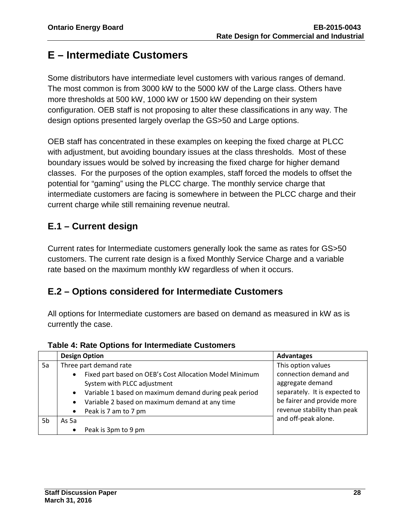# <span id="page-29-0"></span>**E – Intermediate Customers**

Some distributors have intermediate level customers with various ranges of demand. The most common is from 3000 kW to the 5000 kW of the Large class. Others have more thresholds at 500 kW, 1000 kW or 1500 kW depending on their system configuration. OEB staff is not proposing to alter these classifications in any way. The design options presented largely overlap the GS>50 and Large options.

OEB staff has concentrated in these examples on keeping the fixed charge at PLCC with adjustment, but avoiding boundary issues at the class thresholds. Most of these boundary issues would be solved by increasing the fixed charge for higher demand classes. For the purposes of the option examples, staff forced the models to offset the potential for "gaming" using the PLCC charge. The monthly service charge that intermediate customers are facing is somewhere in between the PLCC charge and their current charge while still remaining revenue neutral.

## <span id="page-29-1"></span>**E.1 – Current design**

Current rates for Intermediate customers generally look the same as rates for GS>50 customers. The current rate design is a fixed Monthly Service Charge and a variable rate based on the maximum monthly kW regardless of when it occurs.

### <span id="page-29-2"></span>**E.2 – Options considered for Intermediate Customers**

All options for Intermediate customers are based on demand as measured in kW as is currently the case.

|    |                        | <b>Design Option</b>                                    | <b>Advantages</b>             |
|----|------------------------|---------------------------------------------------------|-------------------------------|
| 5a | Three part demand rate |                                                         | This option values            |
|    | $\bullet$              | Fixed part based on OEB's Cost Allocation Model Minimum | connection demand and         |
|    |                        | System with PLCC adjustment                             | aggregate demand              |
|    | $\bullet$              | Variable 1 based on maximum demand during peak period   | separately. It is expected to |
|    | $\bullet$              | Variable 2 based on maximum demand at any time          | be fairer and provide more    |
|    | $\bullet$              | Peak is 7 am to 7 pm                                    | revenue stability than peak   |
| 5b | As 5a                  |                                                         | and off-peak alone.           |
|    | $\bullet$              | Peak is 3pm to 9 pm                                     |                               |

**Table 4: Rate Options for Intermediate Customers**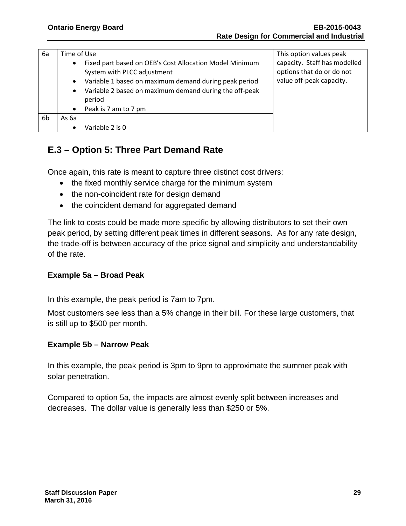| 6а | Time of Use<br>Fixed part based on OEB's Cost Allocation Model Minimum<br>$\bullet$<br>System with PLCC adjustment<br>Variable 1 based on maximum demand during peak period<br>$\bullet$<br>Variable 2 based on maximum demand during the off-peak<br>$\bullet$<br>period |                      | This option values peak<br>capacity. Staff has modelled<br>options that do or do not<br>value off-peak capacity. |
|----|---------------------------------------------------------------------------------------------------------------------------------------------------------------------------------------------------------------------------------------------------------------------------|----------------------|------------------------------------------------------------------------------------------------------------------|
|    | $\bullet$                                                                                                                                                                                                                                                                 | Peak is 7 am to 7 pm |                                                                                                                  |
| 6b | As 6a                                                                                                                                                                                                                                                                     |                      |                                                                                                                  |
|    | $\bullet$                                                                                                                                                                                                                                                                 | Variable 2 is 0      |                                                                                                                  |

### <span id="page-30-0"></span>**E.3 – Option 5: Three Part Demand Rate**

Once again, this rate is meant to capture three distinct cost drivers:

- the fixed monthly service charge for the minimum system
- the non-coincident rate for design demand
- the coincident demand for aggregated demand

The link to costs could be made more specific by allowing distributors to set their own peak period, by setting different peak times in different seasons. As for any rate design, the trade-off is between accuracy of the price signal and simplicity and understandability of the rate.

#### **Example 5a – Broad Peak**

In this example, the peak period is 7am to 7pm.

Most customers see less than a 5% change in their bill. For these large customers, that is still up to \$500 per month.

#### **Example 5b – Narrow Peak**

In this example, the peak period is 3pm to 9pm to approximate the summer peak with solar penetration.

<span id="page-30-1"></span>Compared to option 5a, the impacts are almost evenly split between increases and decreases. The dollar value is generally less than \$250 or 5%.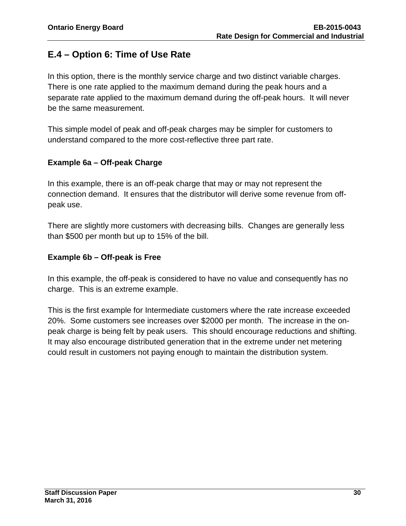# **E.4 – Option 6: Time of Use Rate**

In this option, there is the monthly service charge and two distinct variable charges. There is one rate applied to the maximum demand during the peak hours and a separate rate applied to the maximum demand during the off-peak hours. It will never be the same measurement.

This simple model of peak and off-peak charges may be simpler for customers to understand compared to the more cost-reflective three part rate.

#### **Example 6a – Off-peak Charge**

In this example, there is an off-peak charge that may or may not represent the connection demand. It ensures that the distributor will derive some revenue from offpeak use.

There are slightly more customers with decreasing bills. Changes are generally less than \$500 per month but up to 15% of the bill.

#### **Example 6b – Off-peak is Free**

In this example, the off-peak is considered to have no value and consequently has no charge. This is an extreme example.

This is the first example for Intermediate customers where the rate increase exceeded 20%. Some customers see increases over \$2000 per month. The increase in the onpeak charge is being felt by peak users. This should encourage reductions and shifting. It may also encourage distributed generation that in the extreme under net metering could result in customers not paying enough to maintain the distribution system.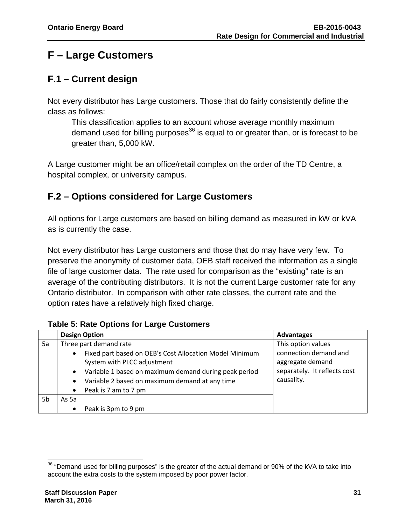# <span id="page-32-0"></span>**F – Large Customers**

## <span id="page-32-1"></span>**F.1 – Current design**

Not every distributor has Large customers. Those that do fairly consistently define the class as follows:

This classification applies to an account whose average monthly maximum demand used for billing purposes<sup>[36](#page-32-3)</sup> is equal to or greater than, or is forecast to be greater than, 5,000 kW.

A Large customer might be an office/retail complex on the order of the TD Centre, a hospital complex, or university campus.

### <span id="page-32-2"></span>**F.2 – Options considered for Large Customers**

All options for Large customers are based on billing demand as measured in kW or kVA as is currently the case.

Not every distributor has Large customers and those that do may have very few. To preserve the anonymity of customer data, OEB staff received the information as a single file of large customer data. The rate used for comparison as the "existing" rate is an average of the contributing distributors. It is not the current Large customer rate for any Ontario distributor. In comparison with other rate classes, the current rate and the option rates have a relatively high fixed charge.

|    |                                                  | <b>Design Option</b>                                                                                                                                                                                                                                | <b>Advantages</b>                                                                                             |  |
|----|--------------------------------------------------|-----------------------------------------------------------------------------------------------------------------------------------------------------------------------------------------------------------------------------------------------------|---------------------------------------------------------------------------------------------------------------|--|
| 5a | $\bullet$<br>$\bullet$<br>$\bullet$<br>$\bullet$ | Three part demand rate<br>Fixed part based on OEB's Cost Allocation Model Minimum<br>System with PLCC adjustment<br>Variable 1 based on maximum demand during peak period<br>Variable 2 based on maximum demand at any time<br>Peak is 7 am to 7 pm | This option values<br>connection demand and<br>aggregate demand<br>separately. It reflects cost<br>causality. |  |
| 5b | As 5a                                            |                                                                                                                                                                                                                                                     |                                                                                                               |  |
|    | $\bullet$                                        | Peak is 3pm to 9 pm                                                                                                                                                                                                                                 |                                                                                                               |  |

#### **Table 5: Rate Options for Large Customers**

<span id="page-32-3"></span> $\overline{a}$  $36$  "Demand used for billing purposes" is the greater of the actual demand or 90% of the kVA to take into account the extra costs to the system imposed by poor power factor.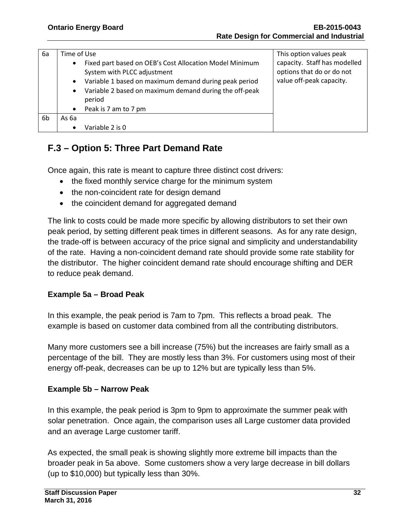| 6а | Time of Use<br>Fixed part based on OEB's Cost Allocation Model Minimum<br>$\bullet$<br>System with PLCC adjustment<br>Variable 1 based on maximum demand during peak period<br>$\bullet$<br>Variable 2 based on maximum demand during the off-peak<br>$\bullet$<br>period |                      | This option values peak<br>capacity. Staff has modelled<br>options that do or do not<br>value off-peak capacity. |  |
|----|---------------------------------------------------------------------------------------------------------------------------------------------------------------------------------------------------------------------------------------------------------------------------|----------------------|------------------------------------------------------------------------------------------------------------------|--|
|    |                                                                                                                                                                                                                                                                           |                      |                                                                                                                  |  |
| 6b | As 6a                                                                                                                                                                                                                                                                     |                      |                                                                                                                  |  |
|    | $\bullet$                                                                                                                                                                                                                                                                 | Variable 2 is 0      |                                                                                                                  |  |
|    | $\bullet$                                                                                                                                                                                                                                                                 | Peak is 7 am to 7 pm |                                                                                                                  |  |

## <span id="page-33-0"></span>**F.3 – Option 5: Three Part Demand Rate**

Once again, this rate is meant to capture three distinct cost drivers:

- the fixed monthly service charge for the minimum system
- the non-coincident rate for design demand
- the coincident demand for aggregated demand

The link to costs could be made more specific by allowing distributors to set their own peak period, by setting different peak times in different seasons. As for any rate design, the trade-off is between accuracy of the price signal and simplicity and understandability of the rate. Having a non-coincident demand rate should provide some rate stability for the distributor. The higher coincident demand rate should encourage shifting and DER to reduce peak demand.

#### **Example 5a – Broad Peak**

In this example, the peak period is 7am to 7pm. This reflects a broad peak. The example is based on customer data combined from all the contributing distributors.

Many more customers see a bill increase (75%) but the increases are fairly small as a percentage of the bill. They are mostly less than 3%. For customers using most of their energy off-peak, decreases can be up to 12% but are typically less than 5%.

#### **Example 5b – Narrow Peak**

In this example, the peak period is 3pm to 9pm to approximate the summer peak with solar penetration. Once again, the comparison uses all Large customer data provided and an average Large customer tariff.

As expected, the small peak is showing slightly more extreme bill impacts than the broader peak in 5a above. Some customers show a very large decrease in bill dollars (up to \$10,000) but typically less than 30%.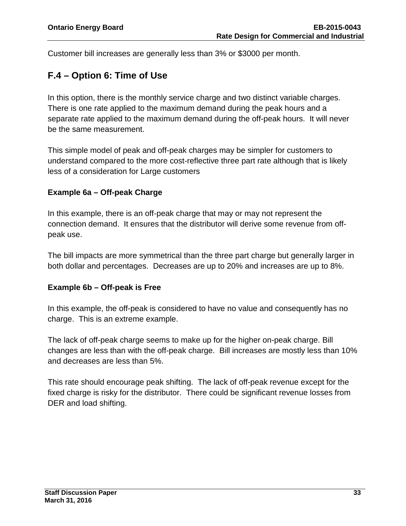Customer bill increases are generally less than 3% or \$3000 per month.

## <span id="page-34-0"></span>**F.4 – Option 6: Time of Use**

In this option, there is the monthly service charge and two distinct variable charges. There is one rate applied to the maximum demand during the peak hours and a separate rate applied to the maximum demand during the off-peak hours. It will never be the same measurement.

This simple model of peak and off-peak charges may be simpler for customers to understand compared to the more cost-reflective three part rate although that is likely less of a consideration for Large customers

#### **Example 6a – Off-peak Charge**

In this example, there is an off-peak charge that may or may not represent the connection demand. It ensures that the distributor will derive some revenue from offpeak use.

The bill impacts are more symmetrical than the three part charge but generally larger in both dollar and percentages. Decreases are up to 20% and increases are up to 8%.

#### **Example 6b – Off-peak is Free**

In this example, the off-peak is considered to have no value and consequently has no charge. This is an extreme example.

The lack of off-peak charge seems to make up for the higher on-peak charge. Bill changes are less than with the off-peak charge. Bill increases are mostly less than 10% and decreases are less than 5%.

This rate should encourage peak shifting. The lack of off-peak revenue except for the fixed charge is risky for the distributor. There could be significant revenue losses from DER and load shifting.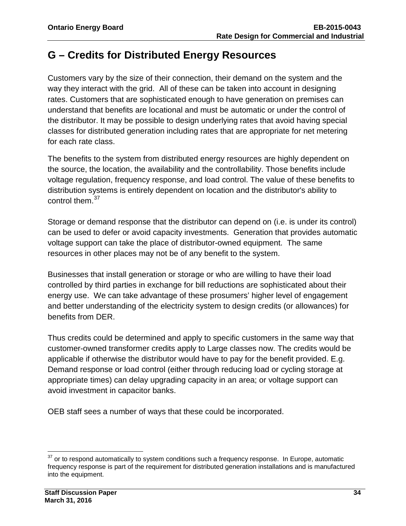# <span id="page-35-0"></span>**G – Credits for Distributed Energy Resources**

Customers vary by the size of their connection, their demand on the system and the way they interact with the grid. All of these can be taken into account in designing rates. Customers that are sophisticated enough to have generation on premises can understand that benefits are locational and must be automatic or under the control of the distributor. It may be possible to design underlying rates that avoid having special classes for distributed generation including rates that are appropriate for net metering for each rate class.

The benefits to the system from distributed energy resources are highly dependent on the source, the location, the availability and the controllability. Those benefits include voltage regulation, frequency response, and load control. The value of these benefits to distribution systems is entirely dependent on location and the distributor's ability to control them.<sup>37</sup>

Storage or demand response that the distributor can depend on (i.e. is under its control) can be used to defer or avoid capacity investments. Generation that provides automatic voltage support can take the place of distributor-owned equipment. The same resources in other places may not be of any benefit to the system.

Businesses that install generation or storage or who are willing to have their load controlled by third parties in exchange for bill reductions are sophisticated about their energy use. We can take advantage of these prosumers' higher level of engagement and better understanding of the electricity system to design credits (or allowances) for benefits from DER.

Thus credits could be determined and apply to specific customers in the same way that customer-owned transformer credits apply to Large classes now. The credits would be applicable if otherwise the distributor would have to pay for the benefit provided. E.g. Demand response or load control (either through reducing load or cycling storage at appropriate times) can delay upgrading capacity in an area; or voltage support can avoid investment in capacitor banks.

OEB staff sees a number of ways that these could be incorporated.

<span id="page-35-1"></span> $\overline{a}$  $37$  or to respond automatically to system conditions such a frequency response. In Europe, automatic frequency response is part of the requirement for distributed generation installations and is manufactured into the equipment.